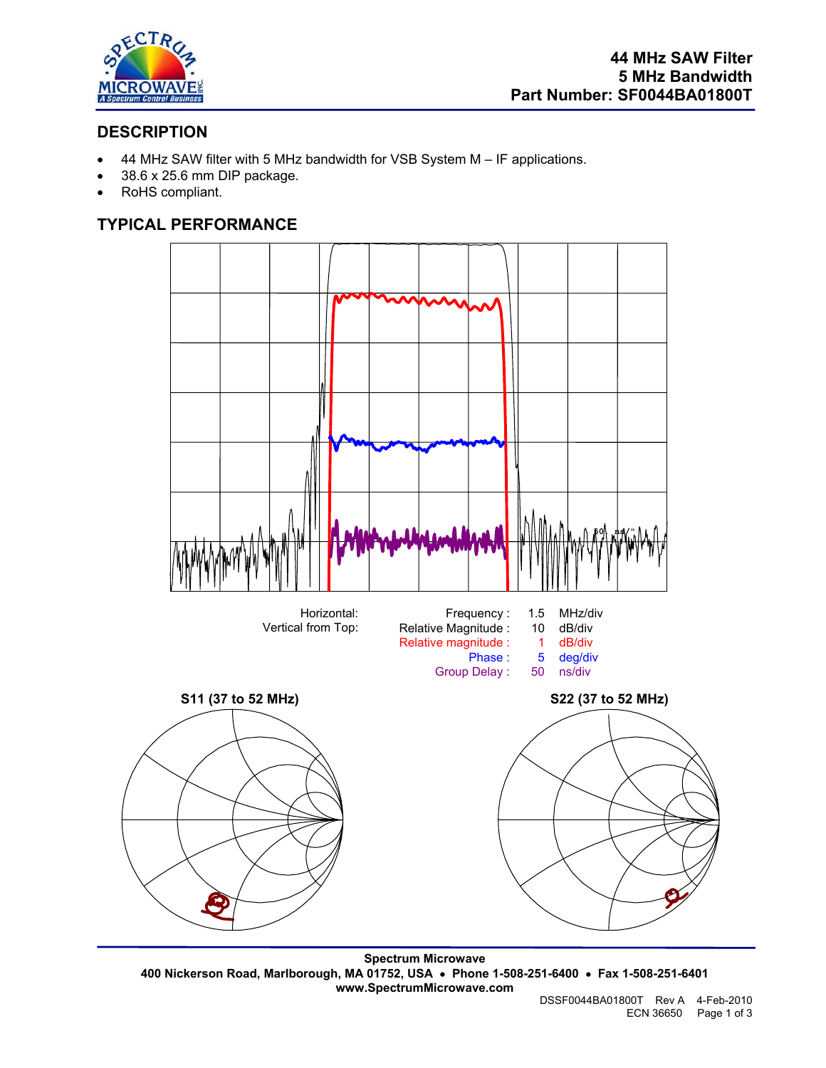

# **DESCRIPTION**

- 44 MHz SAW filter with 5 MHz bandwidth for VSB System M IF applications.
- 38.6 x 25.6 mm DIP package.
- RoHS compliant.

# **TYPICAL PERFORMANCE**



**Spectrum Microwave 400 Nickerson Road, Marlborough, MA 01752, USA** • **Phone 1-508-251-6400** • **Fax 1-508-251-6401 www.SpectrumMicrowave.com**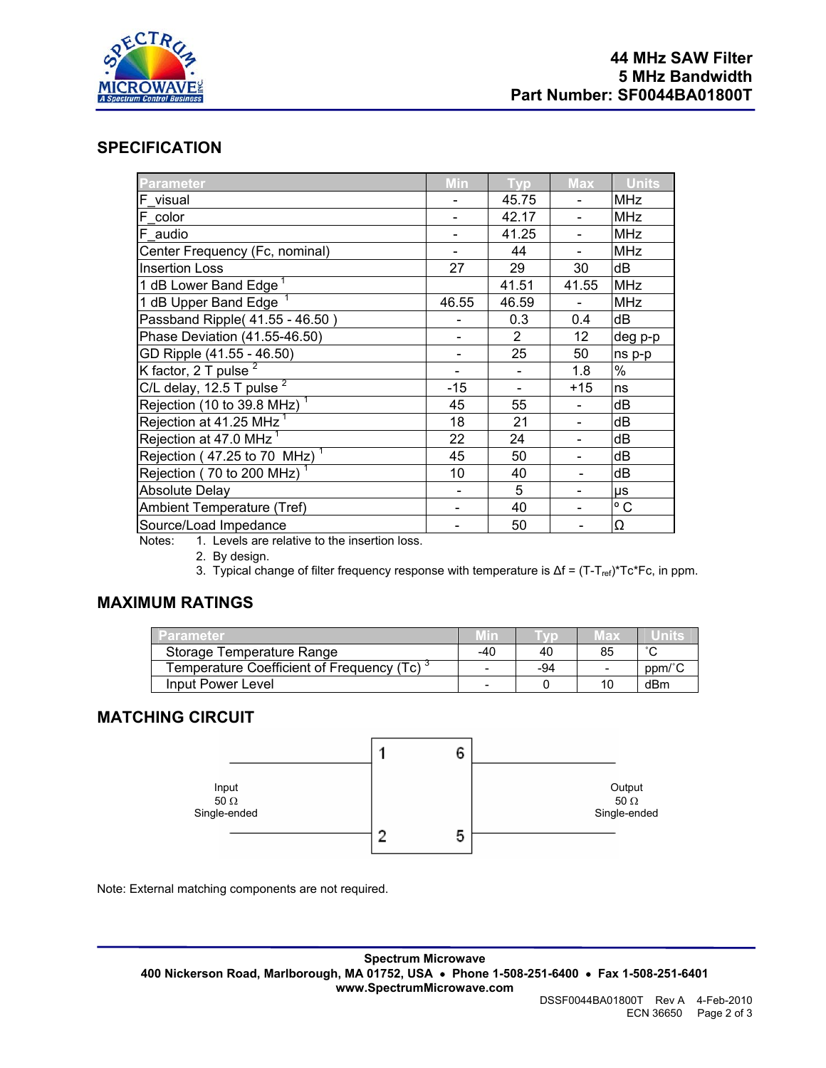

### **SPECIFICATION**

| <b>Parameter</b>                                                                                                                 | Min   | <b>Typ</b>     | <b>Max</b> | <b>Units</b> |
|----------------------------------------------------------------------------------------------------------------------------------|-------|----------------|------------|--------------|
| F visual                                                                                                                         |       | 45.75          |            | <b>MHz</b>   |
| F color                                                                                                                          |       | 42.17          |            | <b>MHz</b>   |
| F audio                                                                                                                          |       | 41.25          |            | <b>MHz</b>   |
| Center Frequency (Fc, nominal)                                                                                                   |       | 44             |            | <b>MHz</b>   |
| <b>Insertion Loss</b>                                                                                                            | 27    | 29             | 30         | dB           |
| 1 dB Lower Band Edge <sup>1</sup>                                                                                                |       | 41.51          | 41.55      | <b>MHz</b>   |
| 1 dB Upper Band Edge $1$                                                                                                         | 46.55 | 46.59          |            | <b>MHz</b>   |
| Passband Ripple(41.55 - 46.50)                                                                                                   |       | 0.3            | 0.4        | dB           |
| Phase Deviation (41.55-46.50)                                                                                                    |       | $\overline{2}$ | 12         | deg p-p      |
| GD Ripple (41.55 - 46.50)                                                                                                        |       | 25             | 50         | ns p-p       |
| K factor, 2 T pulse $^2$                                                                                                         |       |                | 1.8        | $\%$         |
| C/L delay, 12.5 T pulse $2$                                                                                                      | -15   |                | $+15$      | ns           |
| Rejection (10 to $39.8$ MHz) <sup>1</sup>                                                                                        | 45    | 55             |            | dB           |
| Rejection at 41.25 MHz <sup>1</sup>                                                                                              | 18    | 21             |            | dB           |
| Rejection at 47.0 MHz <sup>1</sup>                                                                                               | 22    | 24             |            | dB           |
| Rejection (47.25 to 70 MHz) <sup>1</sup>                                                                                         | 45    | 50             |            | dB           |
| Rejection (70 to 200 MHz) <sup>1</sup>                                                                                           | 10    | 40             |            | dB           |
| <b>Absolute Delay</b>                                                                                                            |       | 5              |            | μs           |
| Ambient Temperature (Tref)                                                                                                       |       | 40             |            | $^{\circ}$ C |
| Source/Load Impedance<br>A between the state of the contract of the contract of the state of the contract of the contract of the |       | 50             |            | Ω            |

Notes: 1. Levels are relative to the insertion loss.

2. By design.

3. Typical change of filter frequency response with temperature is Δf = (T-T<sub>ref</sub>)\*Tc\*Fc, in ppm.

### **MAXIMUM RATINGS**

| Parameter                                           |     |     | HE DI | <b>Units</b> |
|-----------------------------------------------------|-----|-----|-------|--------------|
| Storage Temperature Range                           | -40 | 40  | 85    | $\sim$       |
| Femperature Coefficient of Frequency (Tc) $\degree$ |     | -94 |       | ppm/°        |
| Input Power Level                                   |     |     | 10    | dBm          |

## **MATCHING CIRCUIT**



Note: External matching components are not required.